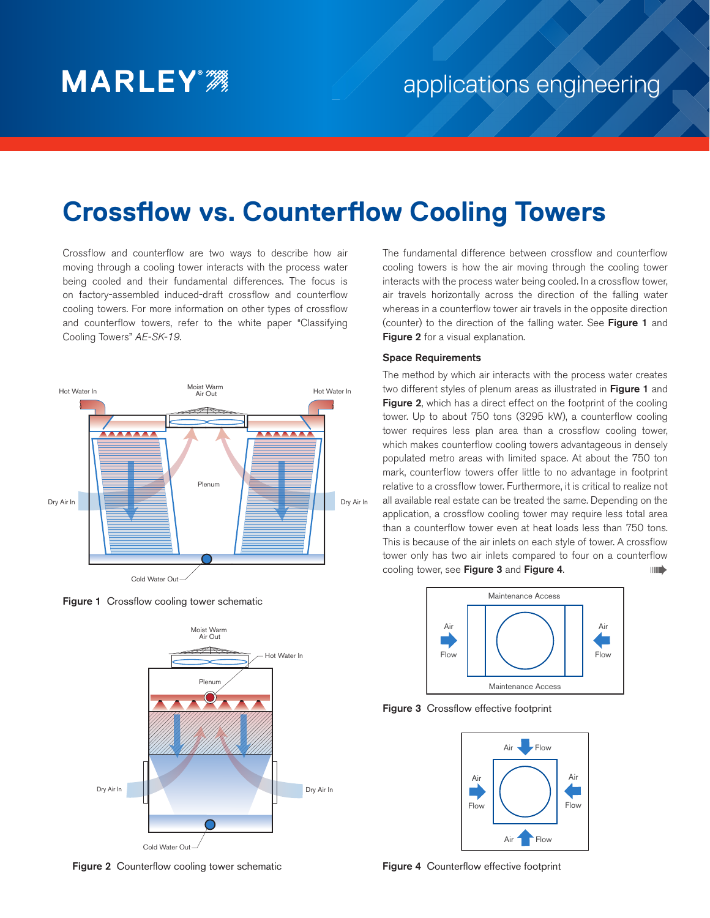# **Crossflow vs. Counterflow Cooling Towers**

Crossflow and counterflow are two ways to describe how air moving through a cooling tower interacts with the process water being cooled and their fundamental differences. The focus is on factory-assembled induced-draft crossflow and counterflow cooling towers. For more information on other types of crossflow and counterflow towers, refer to the white paper "Classifying Cooling Towers" *AE-SK-19*.



**Figure 1** Crossflow cooling tower schematic



Figure 2Counterflow cooling tower schematic

The fundamental difference between crossflow and counterflow cooling towers is how the air moving through the cooling tower interacts with the process water being cooled. In a crossflow tower, air travels horizontally across the direction of the falling water whereas in a counterflow tower air travels in the opposite direction (counter) to the direction of the falling water. See Figure 1 and Figure 2 for a visual explanation.

### Space Requirements

The method by which air interacts with the process water creates two different styles of plenum areas as illustrated in Figure 1 and Figure 2, which has a direct effect on the footprint of the cooling tower. Up to about 750 tons (3295 kW), a counterflow cooling tower requires less plan area than a crossflow cooling tower, which makes counterflow cooling towers advantageous in densely populated metro areas with limited space. At about the 750 ton mark, counterflow towers offer little to no advantage in footprint relative to a crossflow tower. Furthermore, it is critical to realize not all available real estate can be treated the same. Depending on the application, a crossflow cooling tower may require less total area than a counterflow tower even at heat loads less than 750 tons. This is because of the air inlets on each style of tower. A crossflow tower only has two air inlets compared to four on a counterflow cooling tower, see Figure 3 and Figure 4. ➠



Figure 3Crossflow effective footprint



Figure 4Counterflow effective footprint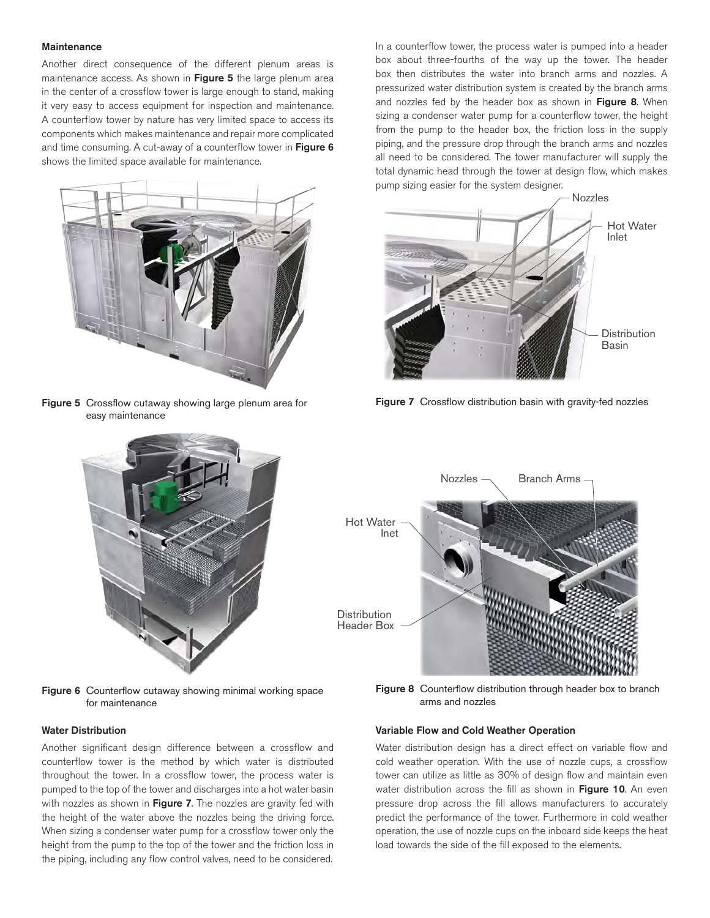#### **Maintenance**

Another direct consequence of the different plenum areas is maintenance access. As shown in Figure 5 the large plenum area in the center of a crossflow tower is large enough to stand, making it very easy to access equipment for inspection and maintenance. A counterflow tower by nature has very limited space to access its components which makes maintenance and repair more complicated and time consuming. A cut-away of a counterflow tower in Figure 6 shows the limited space available for maintenance.



Figure 5Crossflow cutaway showing large plenum area for easy maintenance



Figure 6Counterflow cutaway showing minimal working space for maintenance

#### Water Distribution

Another significant design difference between a crossflow and counterflow tower is the method by which water is distributed throughout the tower. In a crossflow tower, the process water is pumped to the top of the tower and discharges into a hot water basin with nozzles as shown in Figure 7. The nozzles are gravity fed with the height of the water above the nozzles being the driving force. When sizing a condenser water pump for a crossflow tower only the height from the pump to the top of the tower and the friction loss in the piping, including any flow control valves, need to be considered.

In a counterflow tower, the process water is pumped into a header box about three-fourths of the way up the tower. The header box then distributes the water into branch arms and nozzles. A pressurized water distribution system is created by the branch arms and nozzles fed by the header box as shown in Figure 8. When sizing a condenser water pump for a counterflow tower, the height from the pump to the header box, the friction loss in the supply piping, and the pressure drop through the branch arms and nozzles all need to be considered. The tower manufacturer will supply the total dynamic head through the tower at design flow, which makes pump sizing easier for the system designer.



Figure 7Crossflow distribution basin with gravity-fed nozzles



Figure 8Counterflow distribution through header box to branch arms and nozzles

## Variable Flow and Cold Weather Operation

Water distribution design has a direct effect on variable flow and cold weather operation. With the use of nozzle cups, a crossflow tower can utilize as little as 30% of design flow and maintain even water distribution across the fill as shown in Figure 10. An even pressure drop across the fill allows manufacturers to accurately predict the performance of the tower. Furthermore in cold weather operation, the use of nozzle cups on the inboard side keeps the heat load towards the side of the fill exposed to the elements.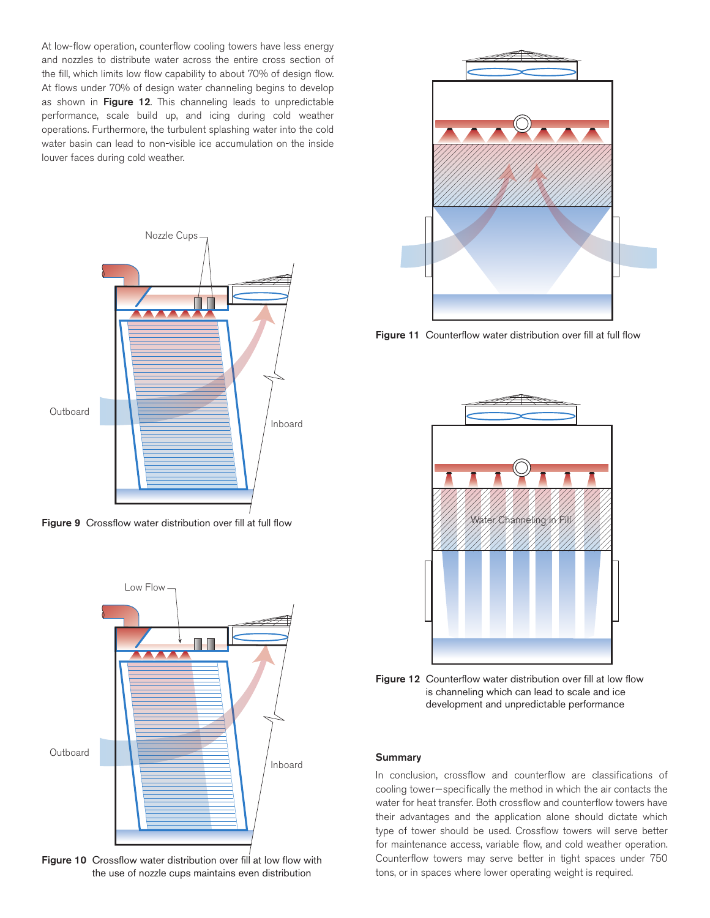At low-flow operation, counterflow cooling towers have less energy and nozzles to distribute water across the entire cross section of the fill, which limits low flow capability to about 70% of design flow. At flows under 70% of design water channeling begins to develop as shown in Figure 12. This channeling leads to unpredictable performance, scale build up, and icing during cold weather operations. Furthermore, the turbulent splashing water into the cold water basin can lead to non-visible ice accumulation on the inside louver faces during cold weather.



Figure 9Crossflow water distribution over fill at full flow



Figure 10Crossflow water distribution over fill at low flow with the use of nozzle cups maintains even distribution



Figure 11Counterflow water distribution over fill at full flow



Figure 12Counterflow water distribution over fill at low flow is channeling which can lead to scale and ice development and unpredictable performance

## **Summary**

In conclusion, crossflow and counterflow are classifications of cooling tower—specifically the method in which the air contacts the water for heat transfer. Both crossflow and counterflow towers have their advantages and the application alone should dictate which type of tower should be used. Crossflow towers will serve better for maintenance access, variable flow, and cold weather operation. Counterflow towers may serve better in tight spaces under 750 tons, or in spaces where lower operating weight is required.